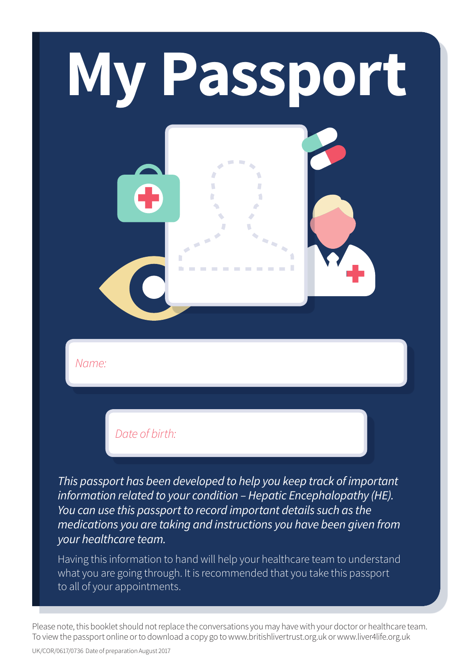# **My Passport**n ×.  $\sim$

*Name:*

*Date of birth:*

*This passport has been developed to help you keep track of important information related to your condition – Hepatic Encephalopathy (HE). You can use this passport to record important details such as the medications you are taking and instructions you have been given from your healthcare team.* 

Having this information to hand will help your healthcare team to understand what you are going through. It is recommended that you take this passport to all of your appointments.

Please note, this booklet should not replace the conversations you may have with your doctor or healthcare team. To view the passport online or to download a copy go to www.britishlivertrust.org.uk or www.liver4life.org.uk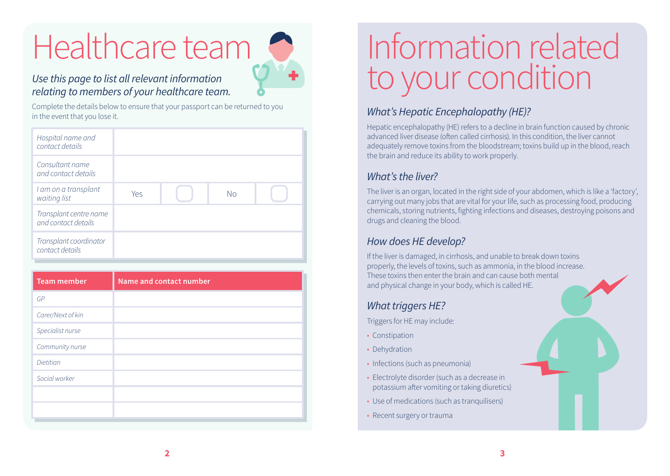## Healthcare team



#### *Use this page to list all relevant information relating to members of your healthcare team.*

Complete the details below to ensure that your passport can be returned to you in the event that you lose it.

| Hospital name and<br>contact details          |     |    |  |
|-----------------------------------------------|-----|----|--|
| Consultant name<br>and contact details        |     |    |  |
| I am on a transplant<br>waiting list          | Yes | No |  |
| Transplant centre name<br>and contact details |     |    |  |
| Transplant coordinator<br>contact details     |     |    |  |

### Information related to your condition

#### *What's Hepatic Encephalopathy (HE)?*

Hepatic encephalopathy (HE) refers to a decline in brain function caused by chronic advanced liver disease (often called cirrhosis). In this condition, the liver cannot adequately remove toxins from the bloodstream; toxins build up in the blood, reach the brain and reduce its ability to work properly.

#### *What's the liver?*

The liver is an organ, located in the right side of your abdomen, which is like a 'factory', carrying out many jobs that are vital for your life, such as processing food, producing chemicals, storing nutrients, fighting infections and diseases, destroying poisons and drugs and cleaning the blood.

#### *How does HE develop?*

If the liver is damaged, in cirrhosis, and unable to break down toxins properly, the levels of toxins, such as ammonia, in the blood increase. These toxins then enter the brain and can cause both mental and physical change in your body, which is called HE.

#### *What triggers HE?*

Triggers for HE may include:

- Constipation
- Dehydration
- Infections (such as pneumonia)
- Electrolyte disorder (such as a decrease in potassium after vomiting or taking diuretics)
- Use of medications (such as tranquilisers)
- Recent surgery or trauma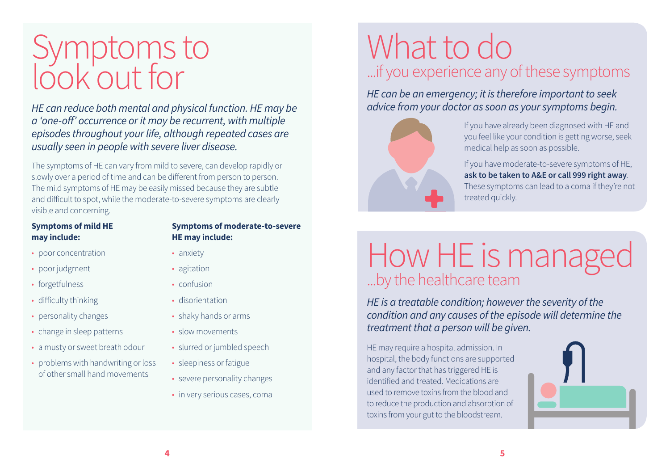### Symptoms to look out for

*HE can reduce both mental and physical function. HE may be a 'one-off' occurrence or it may be recurrent, with multiple episodes throughout your life, although repeated cases are usually seen in people with severe liver disease.* 

The symptoms of HE can vary from mild to severe, can develop rapidly or slowly over a period of time and can be different from person to person. The mild symptoms of HE may be easily missed because they are subtle and difficult to spot, while the moderate-to-severe symptoms are clearly visible and concerning.

#### **Symptoms of mild HE may include:**

- poor concentration
- poor judgment
- forgetfulness
- difficulty thinking
- personality changes
- change in sleep patterns
- a musty or sweet breath odour
- problems with handwriting or loss of other small hand movements

#### **Symptoms of moderate-to-severe HE may include:**

- anxiety
- agitation
- confusion
- disorientation
- shaky hands or arms
- slow movements
- slurred or jumbled speech
- sleepiness or fatigue
- severe personality changes
- in very serious cases, coma

### What to do ...if you experience any of these symptoms

*HE can be an emergency; it is therefore important to seek advice from your doctor as soon as your symptoms begin.*



If you have already been diagnosed with HE and you feel like your condition is getting worse, seek medical help as soon as possible.

If you have moderate-to-severe symptoms of HE, **ask to be taken to A&E or call 999 right away**. These symptoms can lead to a coma if they're not treated quickly.

#### How HE is managed ...by the healthcare team

*HE is a treatable condition; however the severity of the condition and any causes of the episode will determine the treatment that a person will be given.*

HE may require a hospital admission. In hospital, the body functions are supported and any factor that has triggered HE is identified and treated. Medications are used to remove toxins from the blood and to reduce the production and absorption of toxins from your gut to the bloodstream.

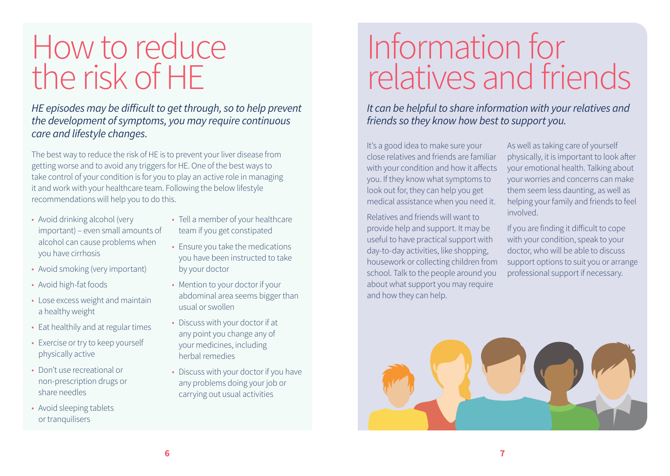### How to reduce the risk of HE

*HE episodes may be difficult to get through, so to help prevent the development of symptoms, you may require continuous care and lifestyle changes.* 

The best way to reduce the risk of HE is to prevent your liver disease from getting worse and to avoid any triggers for HE. One of the best ways to take control of your condition is for you to play an active role in managing it and work with your healthcare team. Following the below lifestyle recommendations will help you to do this.

- Avoid drinking alcohol (very important) – even small amounts of alcohol can cause problems when you have cirrhosis
- Avoid smoking (very important)
- Avoid high-fat foods
- Lose excess weight and maintain a healthy weight
- Eat healthily and at regular times
- Exercise or try to keep yourself physically active
- Don't use recreational or non-prescription drugs or share needles
- Avoid sleeping tablets or tranquilisers
- Tell a member of your healthcare team if you get constipated
- Ensure you take the medications you have been instructed to take by your doctor
- Mention to your doctor if your abdominal area seems bigger than usual or swollen
- Discuss with your doctor if at any point you change any of your medicines, including herbal remedies
- Discuss with your doctor if you have any problems doing your job or carrying out usual activities

### Information for relatives and friends

*It can be helpful to share information with your relatives and friends so they know how best to support you.*

It's a good idea to make sure your close relatives and friends are familiar with your condition and how it affects you. If they know what symptoms to look out for, they can help you get medical assistance when you need it.

Relatives and friends will want to provide help and support. It may be useful to have practical support with day-to-day activities, like shopping, housework or collecting children from school. Talk to the people around you about what support you may require and how they can help.

As well as taking care of yourself physically, it is important to look after your emotional health. Talking about your worries and concerns can make them seem less daunting, as well as helping your family and friends to feel involved.

If you are finding it difficult to cope with your condition, speak to your doctor, who will be able to discuss support options to suit you or arrange professional support if necessary.

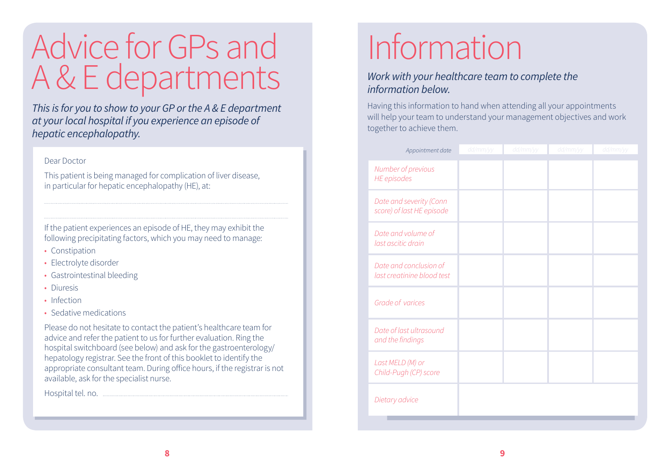### Advice for GPs and A & E departments

*This is for you to show to your GP or the A & E department at your local hospital if you experience an episode of hepatic encephalopathy.* 

#### Dear Doctor

This patient is being managed for complication of liver disease, in particular for hepatic encephalopathy (HE), at:

If the patient experiences an episode of HE, they may exhibit the following precipitating factors, which you may need to manage:

- Constipation
- Electrolyte disorder
- Gastrointestinal bleeding
- Diuresis
- Infection
- Sedative medications

Please do not hesitate to contact the patient's healthcare team for advice and refer the patient to us for further evaluation. Ring the hospital switchboard (see below) and ask for the gastroenterology/ hepatology registrar. See the front of this booklet to identify the appropriate consultant team. During office hours, if the registrar is not available, ask for the specialist nurse.

Hospital tel. no.

## Information

#### *Work with your healthcare team to complete the information below.*

Having this information to hand when attending all your appointments will help your team to understand your management objectives and work together to achieve them.

| Appointment date                                     | dd/mm/yy | dd/mm/yy | dd/mm/yy | dd/mm/yy |
|------------------------------------------------------|----------|----------|----------|----------|
| Number of previous<br><b>HE</b> episodes             |          |          |          |          |
| Date and severity (Conn<br>score) of last HE episode |          |          |          |          |
| Date and volume of<br>last ascitic drain             |          |          |          |          |
| Date and conclusion of<br>last creatinine blood test |          |          |          |          |
| Grade of varices                                     |          |          |          |          |
| Date of last ultrasound<br>and the findings          |          |          |          |          |
| Last MELD (M) or<br>Child-Pugh (CP) score            |          |          |          |          |
| Dietary advice                                       |          |          |          |          |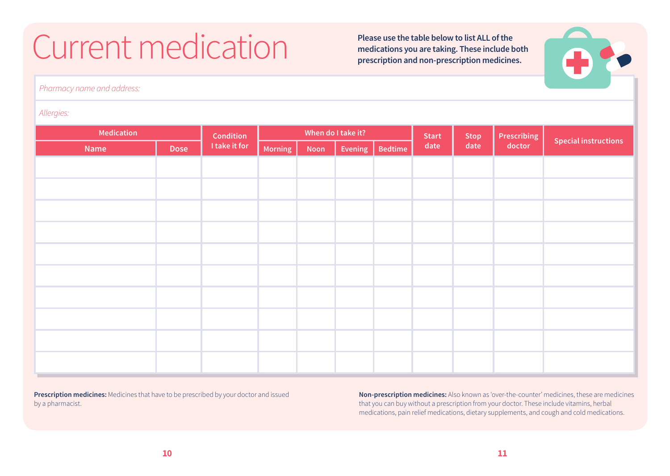## Current medication **Please use the table below to list ALL of the**<br>
medications you are taking. These include the<br>
medication and non processing medicine

**medications you are taking. These include both prescription and non-prescription medicines.** 



*Pharmacy name and address:*

#### *Allergies:*

| Medication |             | <b>Condition</b> | When do I take it? |             | <b>Start</b> | <b>Stop</b>    | Prescribing |      |        |                             |
|------------|-------------|------------------|--------------------|-------------|--------------|----------------|-------------|------|--------|-----------------------------|
| Name       | <b>Dose</b> | I take it for    | Morning            | <b>Noon</b> | Evening      | <b>Bedtime</b> | date        | date | doctor | <b>Special instructions</b> |
|            |             |                  |                    |             |              |                |             |      |        |                             |
|            |             |                  |                    |             |              |                |             |      |        |                             |
|            |             |                  |                    |             |              |                |             |      |        |                             |
|            |             |                  |                    |             |              |                |             |      |        |                             |
|            |             |                  |                    |             |              |                |             |      |        |                             |
|            |             |                  |                    |             |              |                |             |      |        |                             |
|            |             |                  |                    |             |              |                |             |      |        |                             |
|            |             |                  |                    |             |              |                |             |      |        |                             |
|            |             |                  |                    |             |              |                |             |      |        |                             |
|            |             |                  |                    |             |              |                |             |      |        |                             |

**Prescription medicines:** Medicines that have to be prescribed by your doctor and issued by a pharmacist.

**Non-prescription medicines:** Also known as 'over-the-counter' medicines, these are medicines that you can buy without a prescription from your doctor. These include vitamins, herbal medications, pain relief medications, dietary supplements, and cough and cold medications.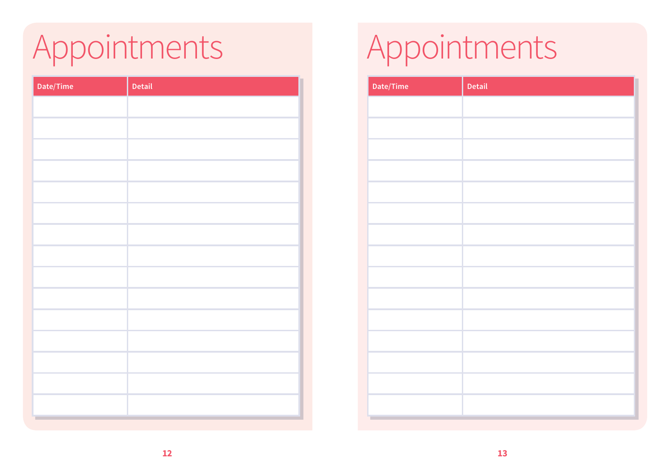## Appointments Appointments

| Date/Time | Detail | Date/Time |
|-----------|--------|-----------|
|           |        |           |
|           |        |           |
|           |        |           |
|           |        |           |
|           |        |           |
|           |        |           |
|           |        |           |
|           |        |           |
|           |        |           |
|           |        |           |
|           |        |           |
|           |        |           |
|           |        |           |
|           |        |           |
|           |        |           |
|           |        |           |
|           |        |           |
|           |        |           |

| Date/Time | Detail |
|-----------|--------|
|           |        |
|           |        |
|           |        |
|           |        |
|           |        |
|           |        |
|           |        |
|           |        |
|           |        |
|           |        |
|           |        |
|           |        |
|           |        |
|           |        |
|           |        |
|           |        |
|           |        |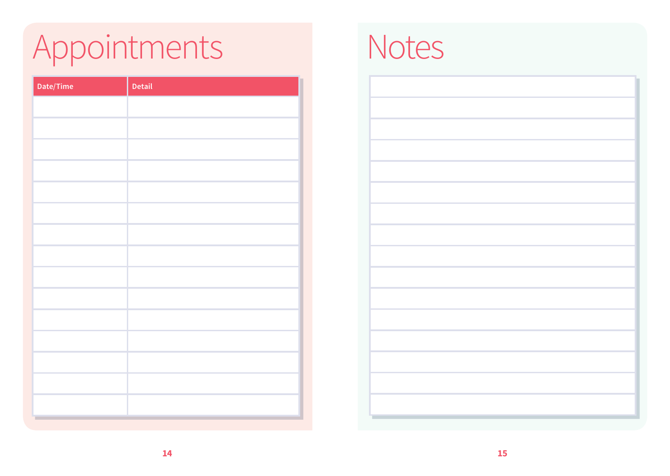# Appointments Notes

| Date/Time | Detail |
|-----------|--------|
|           |        |
|           |        |
|           |        |
|           |        |
|           |        |
|           |        |
|           |        |
|           |        |
|           |        |
|           |        |
|           |        |
|           |        |
|           |        |
|           |        |
|           |        |
|           |        |

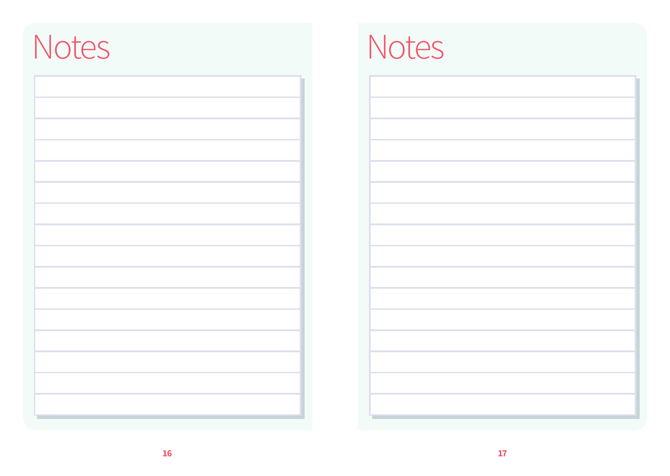### Notes Notes

| <u>ی ک</u> |  |
|------------|--|

| <u> The Communication of the Communication of the Communication of the Communication of the Communication of the Communication of the Communication of the Communication of the Communication of the Communication of the Commun</u> |  |
|--------------------------------------------------------------------------------------------------------------------------------------------------------------------------------------------------------------------------------------|--|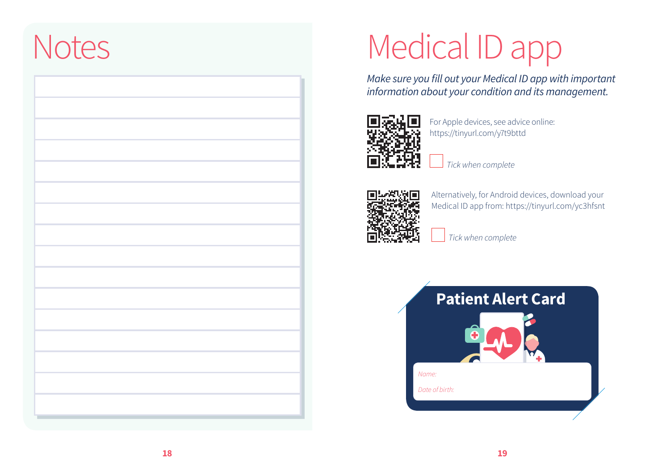### **Notes**

# Medical ID app

*Make sure you fill out your Medical ID app with important information about your condition and its management.* 



For Apple devices, see advice online: https://tinyurl.com/y7t9bttd

*Tick when complete*



Alternatively, for Android devices, download your Medical ID app from: https://tinyurl.com/yc3hfsnt

*Tick when complete*